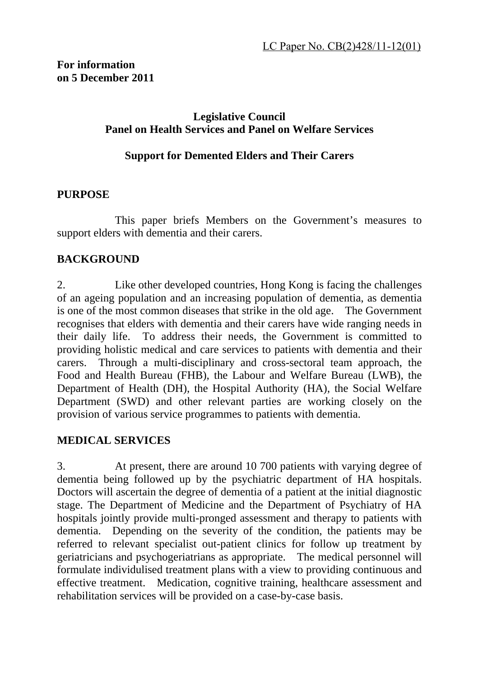# **Legislative Council Panel on Health Services and Panel on Welfare Services**

### **Support for Demented Elders and Their Carers**

### **PURPOSE**

 This paper briefs Members on the Government's measures to support elders with dementia and their carers.

# **BACKGROUND**

2. Like other developed countries, Hong Kong is facing the challenges of an ageing population and an increasing population of dementia, as dementia is one of the most common diseases that strike in the old age. The Government recognises that elders with dementia and their carers have wide ranging needs in their daily life. To address their needs, the Government is committed to providing holistic medical and care services to patients with dementia and their carers. Through a multi-disciplinary and cross-sectoral team approach, the Food and Health Bureau (FHB), the Labour and Welfare Bureau (LWB), the Department of Health (DH), the Hospital Authority (HA), the Social Welfare Department (SWD) and other relevant parties are working closely on the provision of various service programmes to patients with dementia.

# **MEDICAL SERVICES**

3. At present, there are around 10 700 patients with varying degree of dementia being followed up by the psychiatric department of HA hospitals. Doctors will ascertain the degree of dementia of a patient at the initial diagnostic stage. The Department of Medicine and the Department of Psychiatry of HA hospitals jointly provide multi-pronged assessment and therapy to patients with dementia. Depending on the severity of the condition, the patients may be referred to relevant specialist out-patient clinics for follow up treatment by geriatricians and psychogeriatrians as appropriate. The medical personnel will formulate individulised treatment plans with a view to providing continuous and effective treatment. Medication, cognitive training, healthcare assessment and rehabilitation services will be provided on a case-by-case basis.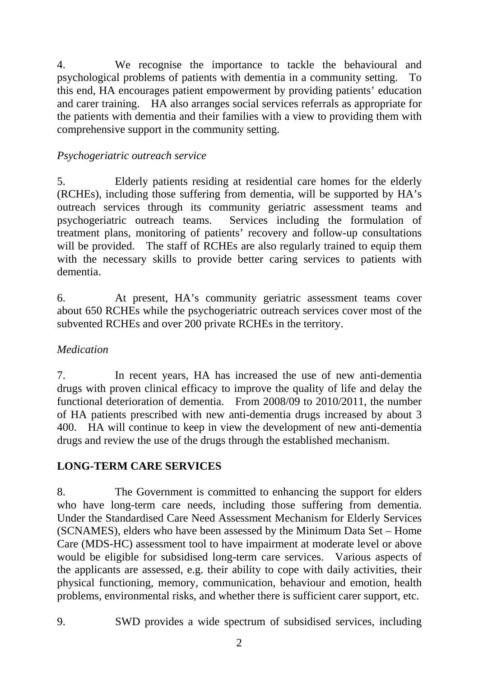4. We recognise the importance to tackle the behavioural and psychological problems of patients with dementia in a community setting. To this end, HA encourages patient empowerment by providing patients' education and carer training. HA also arranges social services referrals as appropriate for the patients with dementia and their families with a view to providing them with comprehensive support in the community setting.

# *Psychogeriatric outreach service*

5. Elderly patients residing at residential care homes for the elderly (RCHEs), including those suffering from dementia, will be supported by HA's outreach services through its community geriatric assessment teams and psychogeriatric outreach teams. Services including the formulation of treatment plans, monitoring of patients' recovery and follow-up consultations will be provided. The staff of RCHEs are also regularly trained to equip them with the necessary skills to provide better caring services to patients with dementia.

6. At present, HA's community geriatric assessment teams cover about 650 RCHEs while the psychogeriatric outreach services cover most of the subvented RCHEs and over 200 private RCHEs in the territory.

# *Medication*

7. In recent years, HA has increased the use of new anti-dementia drugs with proven clinical efficacy to improve the quality of life and delay the functional deterioration of dementia. From 2008/09 to 2010/2011, the number of HA patients prescribed with new anti-dementia drugs increased by about 3 400. HA will continue to keep in view the development of new anti-dementia drugs and review the use of the drugs through the established mechanism.

# **LONG-TERM CARE SERVICES**

8. The Government is committed to enhancing the support for elders who have long-term care needs, including those suffering from dementia. Under the Standardised Care Need Assessment Mechanism for Elderly Services (SCNAMES), elders who have been assessed by the Minimum Data Set – Home Care (MDS-HC) assessment tool to have impairment at moderate level or above would be eligible for subsidised long-term care services. Various aspects of the applicants are assessed, e.g. their ability to cope with daily activities, their physical functioning, memory, communication, behaviour and emotion, health problems, environmental risks, and whether there is sufficient carer support, etc.

9. SWD provides a wide spectrum of subsidised services, including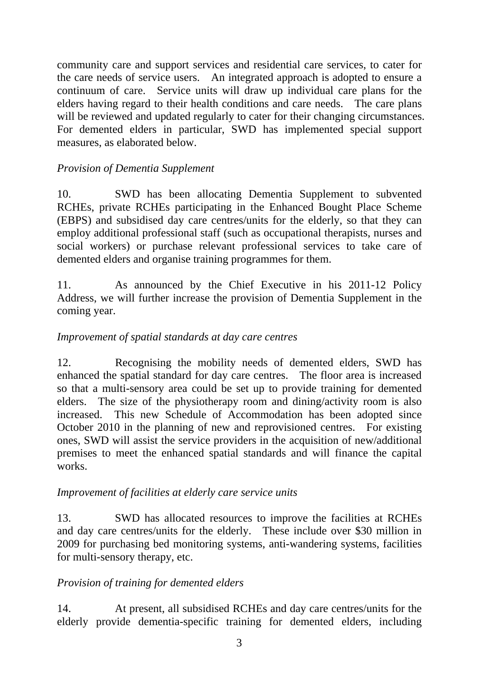community care and support services and residential care services, to cater for the care needs of service users. An integrated approach is adopted to ensure a continuum of care. Service units will draw up individual care plans for the elders having regard to their health conditions and care needs. The care plans will be reviewed and updated regularly to cater for their changing circumstances. For demented elders in particular, SWD has implemented special support measures, as elaborated below.

# *Provision of Dementia Supplement*

10. SWD has been allocating Dementia Supplement to subvented RCHEs, private RCHEs participating in the Enhanced Bought Place Scheme (EBPS) and subsidised day care centres/units for the elderly, so that they can employ additional professional staff (such as occupational therapists, nurses and social workers) or purchase relevant professional services to take care of demented elders and organise training programmes for them.

11. As announced by the Chief Executive in his 2011-12 Policy Address, we will further increase the provision of Dementia Supplement in the coming year.

### *Improvement of spatial standards at day care centres*

12. Recognising the mobility needs of demented elders, SWD has enhanced the spatial standard for day care centres. The floor area is increased so that a multi-sensory area could be set up to provide training for demented elders. The size of the physiotherapy room and dining/activity room is also increased. This new Schedule of Accommodation has been adopted since October 2010 in the planning of new and reprovisioned centres. For existing ones, SWD will assist the service providers in the acquisition of new/additional premises to meet the enhanced spatial standards and will finance the capital works.

#### *Improvement of facilities at elderly care service units*

13. SWD has allocated resources to improve the facilities at RCHEs and day care centres/units for the elderly. These include over \$30 million in 2009 for purchasing bed monitoring systems, anti-wandering systems, facilities for multi-sensory therapy, etc.

# *Provision of training for demented elders*

14. At present, all subsidised RCHEs and day care centres/units for the elderly provide dementia-specific training for demented elders, including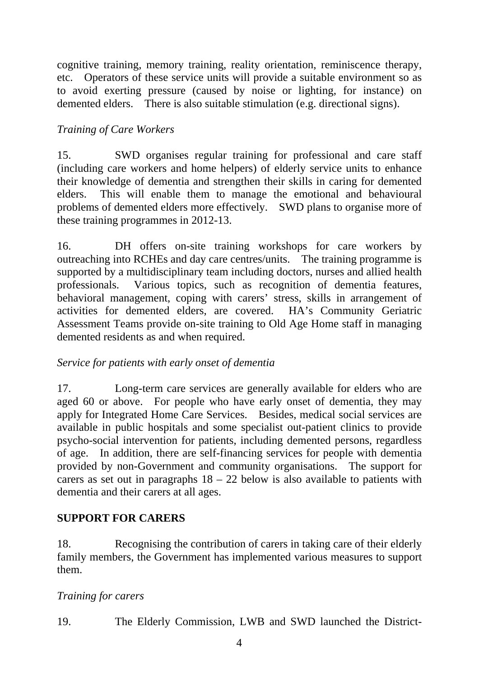cognitive training, memory training, reality orientation, reminiscence therapy, etc. Operators of these service units will provide a suitable environment so as to avoid exerting pressure (caused by noise or lighting, for instance) on demented elders. There is also suitable stimulation (e.g. directional signs).

# *Training of Care Workers*

15. SWD organises regular training for professional and care staff (including care workers and home helpers) of elderly service units to enhance their knowledge of dementia and strengthen their skills in caring for demented elders. This will enable them to manage the emotional and behavioural problems of demented elders more effectively. SWD plans to organise more of these training programmes in 2012-13.

16. DH offers on-site training workshops for care workers by outreaching into RCHEs and day care centres/units. The training programme is supported by a multidisciplinary team including doctors, nurses and allied health professionals. Various topics, such as recognition of dementia features, behavioral management, coping with carers' stress, skills in arrangement of activities for demented elders, are covered. HA's Community Geriatric Assessment Teams provide on-site training to Old Age Home staff in managing demented residents as and when required.

# *Service for patients with early onset of dementia*

17. Long-term care services are generally available for elders who are aged 60 or above. For people who have early onset of dementia, they may apply for Integrated Home Care Services. Besides, medical social services are available in public hospitals and some specialist out-patient clinics to provide psycho-social intervention for patients, including demented persons, regardless of age. In addition, there are self-financing services for people with dementia provided by non-Government and community organisations. The support for carers as set out in paragraphs  $18 - 22$  below is also available to patients with dementia and their carers at all ages.

# **SUPPORT FOR CARERS**

18. Recognising the contribution of carers in taking care of their elderly family members, the Government has implemented various measures to support them.

# *Training for carers*

19. The Elderly Commission, LWB and SWD launched the District-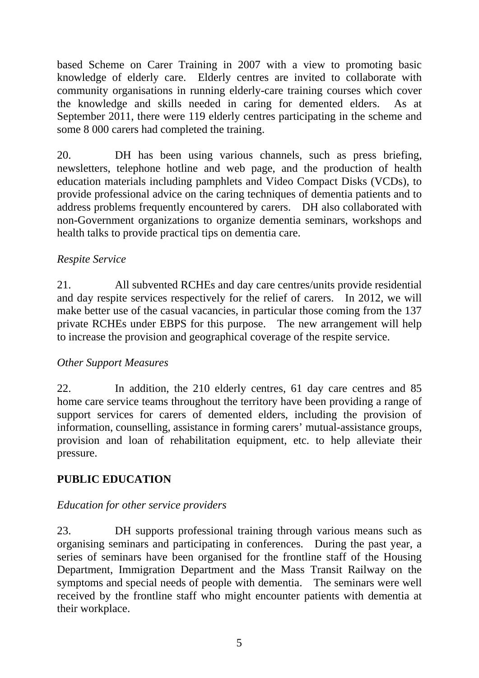based Scheme on Carer Training in 2007 with a view to promoting basic knowledge of elderly care. Elderly centres are invited to collaborate with community organisations in running elderly-care training courses which cover the knowledge and skills needed in caring for demented elders. As at September 2011, there were 119 elderly centres participating in the scheme and some 8 000 carers had completed the training.

20. DH has been using various channels, such as press briefing, newsletters, telephone hotline and web page, and the production of health education materials including pamphlets and Video Compact Disks (VCDs), to provide professional advice on the caring techniques of dementia patients and to address problems frequently encountered by carers. DH also collaborated with non-Government organizations to organize dementia seminars, workshops and health talks to provide practical tips on dementia care.

# *Respite Service*

21. All subvented RCHEs and day care centres/units provide residential and day respite services respectively for the relief of carers. In 2012, we will make better use of the casual vacancies, in particular those coming from the 137 private RCHEs under EBPS for this purpose. The new arrangement will help to increase the provision and geographical coverage of the respite service.

# *Other Support Measures*

22. In addition, the 210 elderly centres, 61 day care centres and 85 home care service teams throughout the territory have been providing a range of support services for carers of demented elders, including the provision of information, counselling, assistance in forming carers' mutual-assistance groups, provision and loan of rehabilitation equipment, etc. to help alleviate their pressure.

# **PUBLIC EDUCATION**

#### *Education for other service providers*

23. DH supports professional training through various means such as organising seminars and participating in conferences. During the past year, a series of seminars have been organised for the frontline staff of the Housing Department, Immigration Department and the Mass Transit Railway on the symptoms and special needs of people with dementia. The seminars were well received by the frontline staff who might encounter patients with dementia at their workplace.